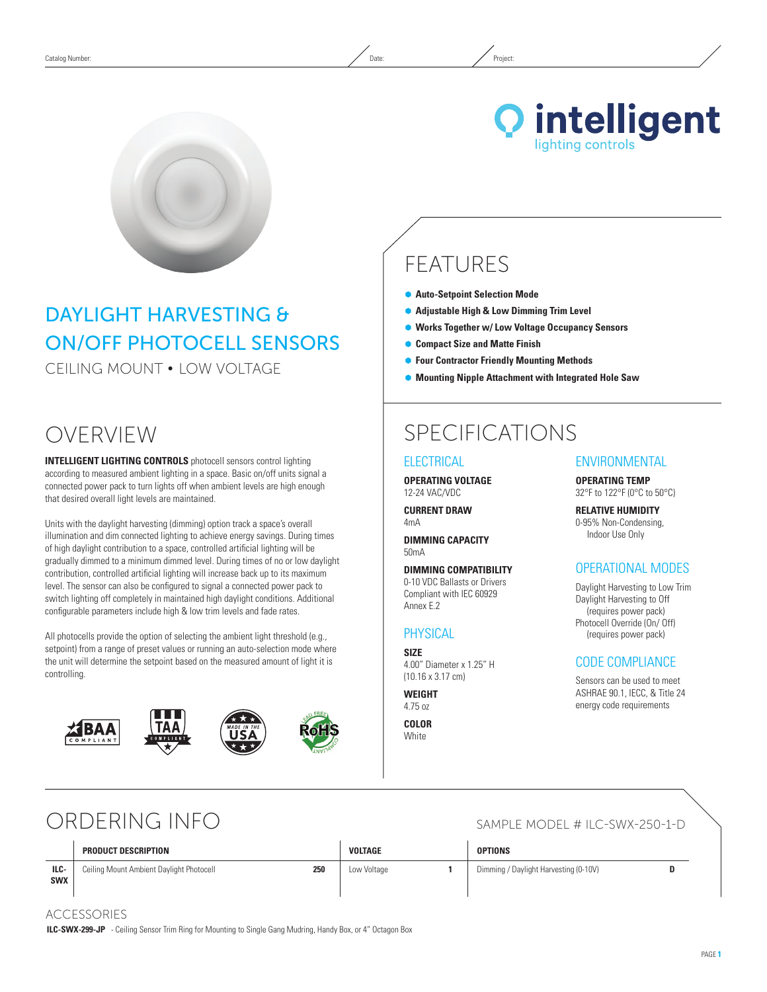

**Q** intelligent ighting controls

# FEATURES

- **Auto-Setpoint Selection Mode**
- **Adjustable High & Low Dimming Trim Level**
- Ã **Works Together w/ Low Voltage Occupancy Sensors**
- Ã **Compact Size and Matte Finish**
- Ã **Four Contractor Friendly Mounting Methods**
- Ã **Mounting Nipple Attachment with Integrated Hole Saw**

## OVERVIEW

**INTELLIGENT LIGHTING CONTROLS** photocell sensors control lighting according to measured ambient lighting in a space. Basic on/off units signal a connected power pack to turn lights off when ambient levels are high enough that desired overall light levels are maintained.

DAYLIGHT HARVESTING &

CEILING MOUNT • Low Voltage

ON/OFF PHOTOCELL SensorS

Units with the daylight harvesting (dimming) option track a space's overall illumination and dim connected lighting to achieve energy savings. During times of high daylight contribution to a space, controlled artificial lighting will be gradually dimmed to a minimum dimmed level. During times of no or low daylight contribution, controlled artificial lighting will increase back up to its maximum level. The sensor can also be configured to signal a connected power pack to switch lighting off completely in maintained high daylight conditions. Additional configurable parameters include high & low trim levels and fade rates.

All photocells provide the option of selecting the ambient light threshold (e.g., setpoint) from a range of preset values or running an auto-selection mode where the unit will determine the setpoint based on the measured amount of light it is controlling.



# SPECIFICATIONS

### **ELECTRICAL**

**Operating Voltage** 12-24 VAC/VDC

**Current Draw** 4mA

**DIMMING CAPACITY** 50mA

**Dimming Compatibility** 0-10 VDC Ballasts or Drivers Compliant with IEC 60929 Annex E.2

#### **PHYSICAL**

**Size** 4.00" Diameter x 1.25" H (10.16 x 3.17 cm)

#### **Weight**

4.75 oz

**Color White** 

### **ENVIRONMENTAL**

**Operating Temp** 32°F to 122°F (0°C to 50°C)

**Relative Humidity** 0-95% Non-Condensing, Indoor Use Only

#### OPERATIONAL MODES

Daylight Harvesting to Low Trim Daylight Harvesting to Off (requires power pack) Photocell Override (On/ Off) (requires power pack)

#### CODE COMPLIANCE

Sensors can be used to meet ASHRAE 90.1, IECC, & Title 24 energy code requirements

## ORDERING INFO

|                    | PRODUCT DESCRIPTION                             | VOLTAGE     | <b>OPTIONS</b>                        |  |
|--------------------|-------------------------------------------------|-------------|---------------------------------------|--|
| ILC-<br><b>SWX</b> | 250<br>Ceiling Mount Ambient Daylight Photocell | Low Voltage | Dimming / Daylight Harvesting (0-10V) |  |

ACCESSORIES

**ILC-SWX-299-JP** - Ceiling Sensor Trim Ring for Mounting to Single Gang Mudring, Handy Box, or 4" Octagon Box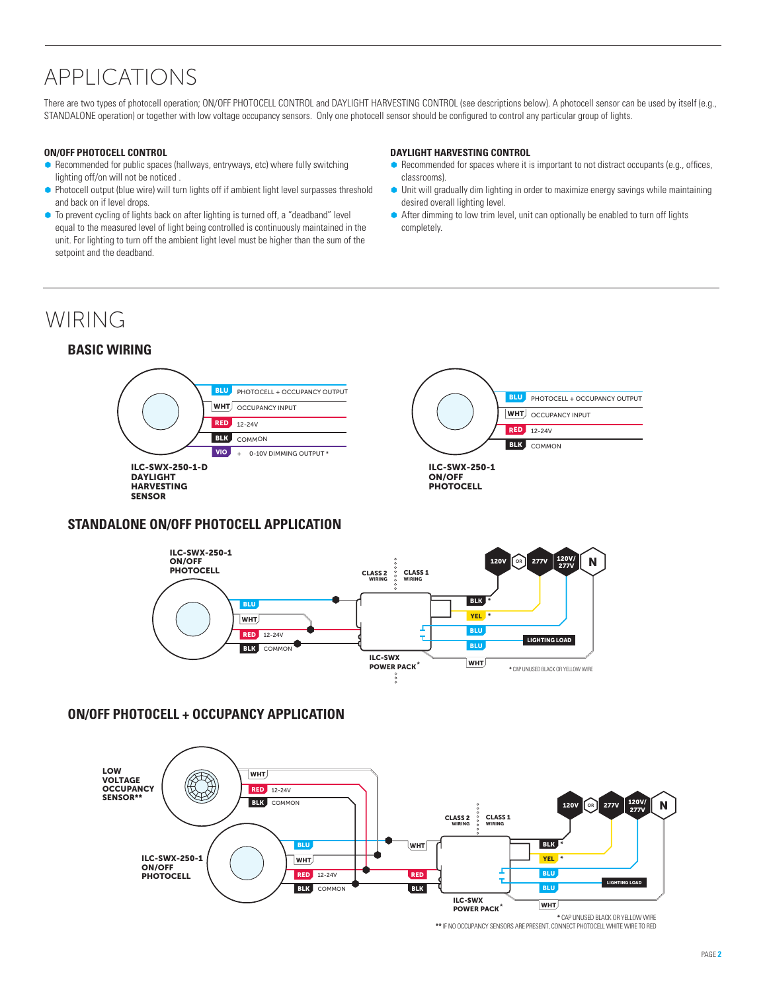# APPLICATIONS

There are two types of photocell operation; ON/OFF PHOTOCELL CONTROL and DAYLIGHT HARVESTING CONTROL (see descriptions below). A photocell sensor can be used by itself (e.g., STANDALONE operation) or together with low voltage occupancy sensors. Only one photocell sensor should be configured to control any particular group of lights.

#### **ON/OFF PHOTOCELL CONTROL**

- Recommended for public spaces (hallways, entryways, etc) where fully switching lighting off/on will not be noticed .
- Photocell output (blue wire) will turn lights off if ambient light level surpasses threshold and back on if level drops.
- To prevent cycling of lights back on after lighting is turned off, a "deadband" level equal to the measured level of light being controlled is continuously maintained in the unit. For lighting to turn off the ambient light level must be higher than the sum of the setpoint and the deadband.

#### **DAYLIGHT HARVESTING CONTROL**

- Recommended for spaces where it is important to not distract occupants (e.g., offices, classrooms).
- Ã Unit will gradually dim lighting in order to maximize energy savings while maintaining desired overall lighting level.
- After dimming to low trim level, unit can optionally be enabled to turn off lights completely.

**RED** 12-24V **BLK** COMMON

WHT **OCCUPANCY INPUT** 

PHOTOCELL + OCCUPANCY OUTPUT

BLU

## WIRING

### **BASIC Wiring**



### **STANDALONE On/OFF PHOTOCELL APPLICATION**



#### **ON/OFF PHOTOCELL + OCCUPANCY APPLICATION**



**\*\*** IF NO OCCUPANCY SENSORS ARE PRESENT, CONNECT PHOTOCELL WHITE WIRE TO RED